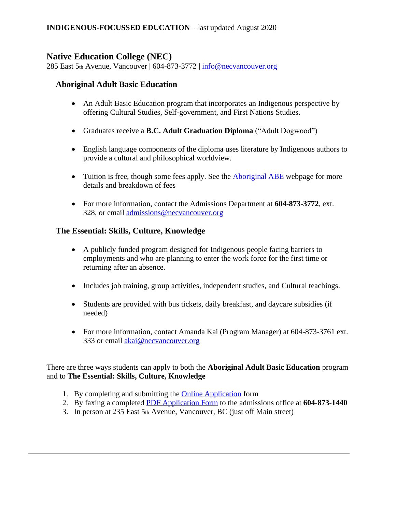# **Native Education College (NEC)**

285 East 5th Avenue, Vancouver | 604-873-3772 | [info@necvancouver.org](mailto:info@necvancouver.org)

## **Aboriginal Adult Basic Education**

- An Adult Basic Education program that incorporates an Indigenous perspective by offering Cultural Studies, Self-government, and First Nations Studies.
- Graduates receive a **B.C. Adult Graduation Diploma** ("Adult Dogwood")
- English language components of the diploma uses literature by Indigenous authors to provide a cultural and philosophical worldview.
- Tuition is free, though some fees apply. See the [Aboriginal ABE](http://www.necvancouver.org/programs/adult-upgrading/aboriginal-adult-basic-education) webpage for more details and breakdown of fees
- For more information, contact the Admissions Department at **604-873-3772**, ext. 328, or email [admissions@necvancouver.org](mailto:admissions@necvancouver.org)

### **The Essential: Skills, Culture, Knowledge**

- A publicly funded program designed for Indigenous people facing barriers to employments and who are planning to enter the work force for the first time or returning after an absence.
- Includes job training, group activities, independent studies, and Cultural teachings.
- Students are provided with bus tickets, daily breakfast, and daycare subsidies (if needed)
- For more information, contact Amanda Kai (Program Manager) at 604-873-3761 ext. 333 or email [akai@necvancouver.org](mailto:akai@necvancouver.org)

There are three ways students can apply to both the **Aboriginal Adult Basic Education** program and to **The Essential: Skills, Culture, Knowledge**

- 1. By completing and submitting the [Online Application](http://www.necvancouver.org/admissions/apply) form
- 2. By faxing a completed [PDF Application Form](/Users/catherinemaguire/Desktop/DBI/application-for-admissions.pdf) to the admissions office at **604-873-1440**
- 3. In person at 235 East 5th Avenue, Vancouver, BC (just off Main street)